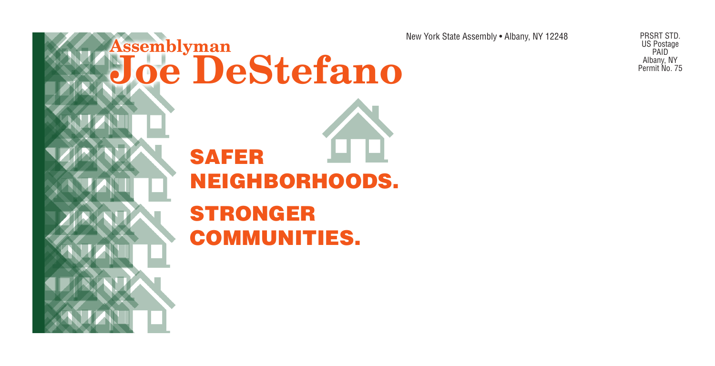

New York State Assembly • Albany, NY 12248 PRSRT STD.

US Postage PAID Albany, NY Permit No. 75